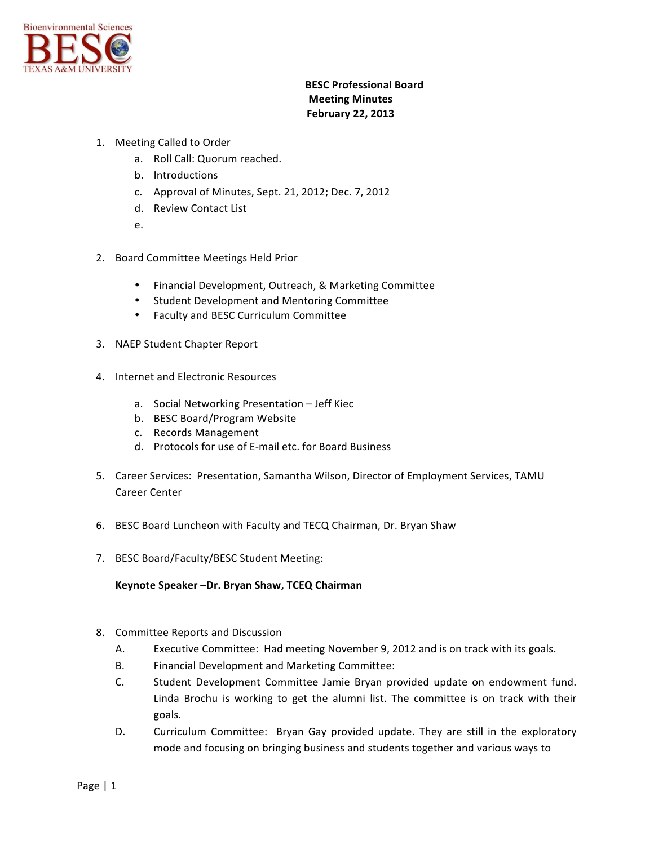

## **BESC Professional Board Meeting Minutes February 22, 2013**

- 1. Meeting Called to Order
	- a. Roll Call: Quorum reached.
	- b. Introductions
	- c. Approval of Minutes, Sept. 21, 2012; Dec. 7, 2012
	- d. Review Contact List
	- e.
- 2. Board Committee Meetings Held Prior
	- Financial Development, Outreach, & Marketing Committee
	- Student Development and Mentoring Committee
	- Faculty and BESC Curriculum Committee
- 3. NAEP Student Chapter Report
- 4. Internet and Electronic Resources
	- a. Social Networking Presentation Jeff Kiec
	- b. BESC Board/Program Website
	- c. Records Management
	- d. Protocols for use of E-mail etc. for Board Business
- 5. Career Services: Presentation, Samantha Wilson, Director of Employment Services, TAMU Career Center
- 6. BESC Board Luncheon with Faculty and TECQ Chairman, Dr. Bryan Shaw
- 7. BESC Board/Faculty/BESC Student Meeting:

Keynote Speaker -Dr. Bryan Shaw, TCEQ Chairman

- 8. Committee Reports and Discussion
	- A. Executive Committee: Had meeting November 9, 2012 and is on track with its goals.
	- B. Financial Development and Marketing Committee:
	- C. Student Development Committee Jamie Bryan provided update on endowment fund. Linda Brochu is working to get the alumni list. The committee is on track with their goals.
	- D. Curriculum Committee: Bryan Gay provided update. They are still in the exploratory mode and focusing on bringing business and students together and various ways to